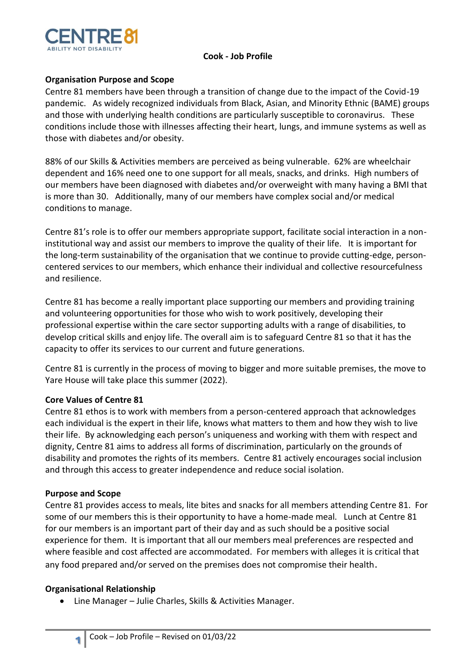

#### **Cook - Job Profile**

# **Organisation Purpose and Scope**

Centre 81 members have been through a transition of change due to the impact of the Covid-19 pandemic. As widely recognized individuals from Black, Asian, and Minority Ethnic (BAME) groups and those with underlying health conditions are particularly susceptible to coronavirus. These conditions include those with illnesses affecting their heart, lungs, and immune systems as well as those with diabetes and/or obesity.

88% of our Skills & Activities members are perceived as being vulnerable. 62% are wheelchair dependent and 16% need one to one support for all meals, snacks, and drinks. High numbers of our members have been diagnosed with diabetes and/or overweight with many having a BMI that is more than 30. Additionally, many of our members have complex social and/or medical conditions to manage.

Centre 81's role is to offer our members appropriate support, facilitate social interaction in a noninstitutional way and assist our members to improve the quality of their life. It is important for the long-term sustainability of the organisation that we continue to provide cutting-edge, personcentered services to our members, which enhance their individual and collective resourcefulness and resilience.

Centre 81 has become a really important place supporting our members and providing training and volunteering opportunities for those who wish to work positively, developing their professional expertise within the care sector supporting adults with a range of disabilities, to develop critical skills and enjoy life. The overall aim is to safeguard Centre 81 so that it has the capacity to offer its services to our current and future generations.

Centre 81 is currently in the process of moving to bigger and more suitable premises, the move to Yare House will take place this summer (2022).

# **Core Values of Centre 81**

Centre 81 ethos is to work with members from a person-centered approach that acknowledges each individual is the expert in their life, knows what matters to them and how they wish to live their life. By acknowledging each person's uniqueness and working with them with respect and dignity, Centre 81 aims to address all forms of discrimination, particularly on the grounds of disability and promotes the rights of its members. Centre 81 actively encourages social inclusion and through this access to greater independence and reduce social isolation.

# **Purpose and Scope**

Centre 81 provides access to meals, lite bites and snacks for all members attending Centre 81. For some of our members this is their opportunity to have a home-made meal. Lunch at Centre 81 for our members is an important part of their day and as such should be a positive social experience for them. It is important that all our members meal preferences are respected and where feasible and cost affected are accommodated. For members with alleges it is critical that any food prepared and/or served on the premises does not compromise their health.

# **Organisational Relationship**

**1**

• Line Manager – Julie Charles, Skills & Activities Manager.